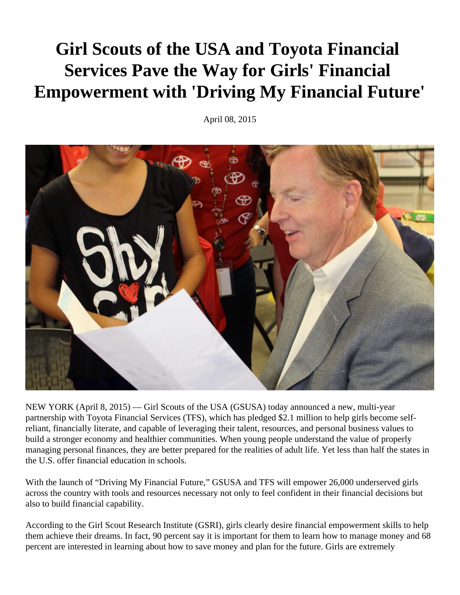## **Girl Scouts of the USA and Toyota Financial Services Pave the Way for Girls' Financial Empowerment with 'Driving My Financial Future'**

April 08, 2015



NEW YORK (April 8, 2015) — Girl Scouts of the USA (GSUSA) today announced a new, multi-year partnership with Toyota Financial Services (TFS), which has pledged \$2.1 million to help girls become selfreliant, financially literate, and capable of leveraging their talent, resources, and personal business values to build a stronger economy and healthier communities. When young people understand the value of properly managing personal finances, they are better prepared for the realities of adult life. Yet less than half the states in the U.S. offer financial education in schools.

With the launch of "Driving My Financial Future," GSUSA and TFS will empower 26,000 underserved girls across the country with tools and resources necessary not only to feel confident in their financial decisions but also to build financial capability.

According to the Girl Scout Research Institute (GSRI), girls clearly desire financial empowerment skills to help them achieve their dreams. In fact, 90 percent say it is important for them to learn how to manage money and 68 percent are interested in learning about how to save money and plan for the future. Girls are extremely